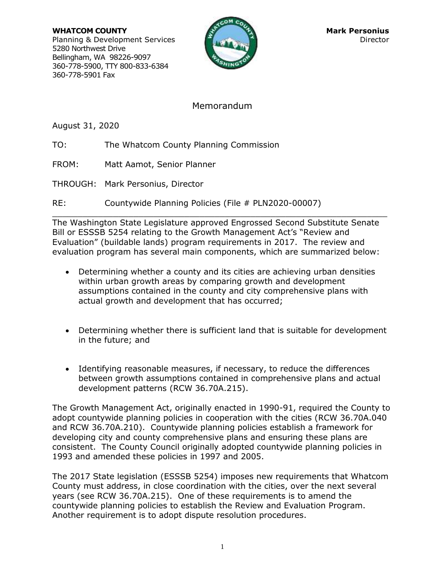**WHATCOM COUNTY Mark Personius Mark Personius** Planning & Development Services Director Director 5280 Northwest Drive Bellingham, WA 98226-9097 360-778-5900, TTY 800-833-6384 360-778-5901 Fax



# Memorandum

August 31, 2020

- TO: The Whatcom County Planning Commission
- FROM: Matt Aamot, Senior Planner
- THROUGH: Mark Personius, Director
- RE: Countywide Planning Policies (File # PLN2020-00007)

 $\mathcal{L}_\mathcal{L} = \{ \mathcal{L}_\mathcal{L} = \{ \mathcal{L}_\mathcal{L} = \{ \mathcal{L}_\mathcal{L} = \{ \mathcal{L}_\mathcal{L} = \{ \mathcal{L}_\mathcal{L} = \{ \mathcal{L}_\mathcal{L} = \{ \mathcal{L}_\mathcal{L} = \{ \mathcal{L}_\mathcal{L} = \{ \mathcal{L}_\mathcal{L} = \{ \mathcal{L}_\mathcal{L} = \{ \mathcal{L}_\mathcal{L} = \{ \mathcal{L}_\mathcal{L} = \{ \mathcal{L}_\mathcal{L} = \{ \mathcal{L}_\mathcal{$ The Washington State Legislature approved Engrossed Second Substitute Senate Bill or ESSSB 5254 relating to the Growth Management Act's "Review and Evaluation" (buildable lands) program requirements in 2017. The review and evaluation program has several main components, which are summarized below:

- Determining whether a county and its cities are achieving urban densities within urban growth areas by comparing growth and development assumptions contained in the county and city comprehensive plans with actual growth and development that has occurred;
- Determining whether there is sufficient land that is suitable for development in the future; and
- Identifying reasonable measures, if necessary, to reduce the differences between growth assumptions contained in comprehensive plans and actual development patterns (RCW 36.70A.215).

The Growth Management Act, originally enacted in 1990-91, required the County to adopt countywide planning policies in cooperation with the cities (RCW 36.70A.040 and RCW 36.70A.210). Countywide planning policies establish a framework for developing city and county comprehensive plans and ensuring these plans are consistent. The County Council originally adopted countywide planning policies in 1993 and amended these policies in 1997 and 2005.

The 2017 State legislation (ESSSB 5254) imposes new requirements that Whatcom County must address, in close coordination with the cities, over the next several years (see RCW 36.70A.215). One of these requirements is to amend the countywide planning policies to establish the Review and Evaluation Program. Another requirement is to adopt dispute resolution procedures.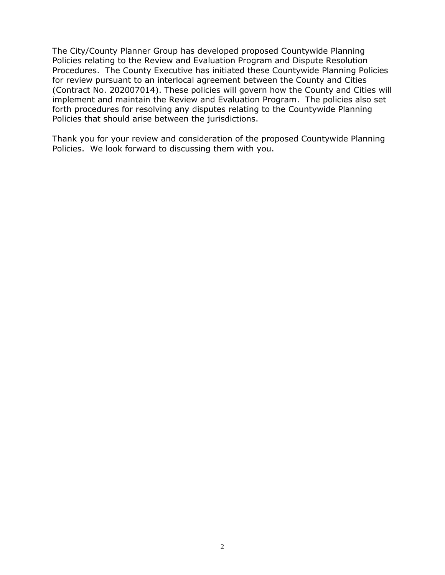The City/County Planner Group has developed proposed Countywide Planning Policies relating to the Review and Evaluation Program and Dispute Resolution Procedures. The County Executive has initiated these Countywide Planning Policies for review pursuant to an interlocal agreement between the County and Cities (Contract No. 202007014). These policies will govern how the County and Cities will implement and maintain the Review and Evaluation Program. The policies also set forth procedures for resolving any disputes relating to the Countywide Planning Policies that should arise between the jurisdictions.

Thank you for your review and consideration of the proposed Countywide Planning Policies. We look forward to discussing them with you.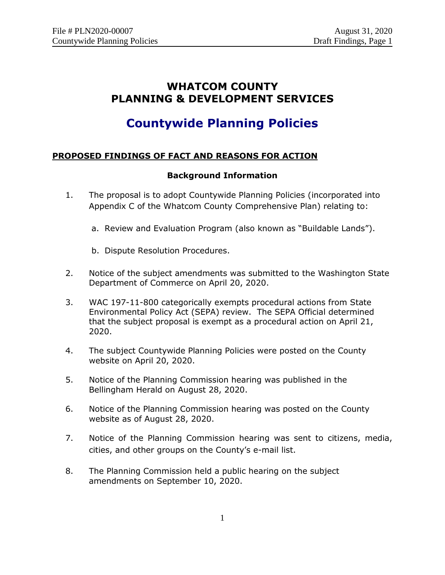# **WHATCOM COUNTY PLANNING & DEVELOPMENT SERVICES**

# **Countywide Planning Policies**

## **PROPOSED FINDINGS OF FACT AND REASONS FOR ACTION**

# **Background Information**

- 1. The proposal is to adopt Countywide Planning Policies (incorporated into Appendix C of the Whatcom County Comprehensive Plan) relating to:
	- a. Review and Evaluation Program (also known as "Buildable Lands").
	- b. Dispute Resolution Procedures.
- 2. Notice of the subject amendments was submitted to the Washington State Department of Commerce on April 20, 2020.
- 3. WAC 197-11-800 categorically exempts procedural actions from State Environmental Policy Act (SEPA) review. The SEPA Official determined that the subject proposal is exempt as a procedural action on April 21, 2020.
- 4. The subject Countywide Planning Policies were posted on the County website on April 20, 2020.
- 5. Notice of the Planning Commission hearing was published in the Bellingham Herald on August 28, 2020.
- 6. Notice of the Planning Commission hearing was posted on the County website as of August 28, 2020.
- 7. Notice of the Planning Commission hearing was sent to citizens, media, cities, and other groups on the County's e-mail list.
- 8. The Planning Commission held a public hearing on the subject amendments on September 10, 2020.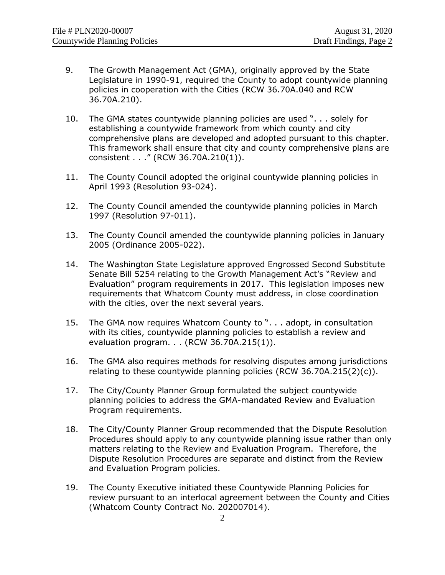- 9. The Growth Management Act (GMA), originally approved by the State Legislature in 1990-91, required the County to adopt countywide planning policies in cooperation with the Cities (RCW 36.70A.040 and RCW 36.70A.210).
- 10. The GMA states countywide planning policies are used ". . . solely for establishing a countywide framework from which county and city comprehensive plans are developed and adopted pursuant to this chapter. This framework shall ensure that city and county comprehensive plans are consistent . . ." (RCW 36.70A.210(1)).
- 11. The County Council adopted the original countywide planning policies in April 1993 (Resolution 93-024).
- 12. The County Council amended the countywide planning policies in March 1997 (Resolution 97-011).
- 13. The County Council amended the countywide planning policies in January 2005 (Ordinance 2005-022).
- 14. The Washington State Legislature approved Engrossed Second Substitute Senate Bill 5254 relating to the Growth Management Act's "Review and Evaluation" program requirements in 2017. This legislation imposes new requirements that Whatcom County must address, in close coordination with the cities, over the next several years.
- 15. The GMA now requires Whatcom County to ". . . adopt, in consultation with its cities, countywide planning policies to establish a review and evaluation program. . . (RCW 36.70A.215(1)).
- 16. The GMA also requires methods for resolving disputes among jurisdictions relating to these countywide planning policies (RCW 36.70A.215(2)(c)).
- 17. The City/County Planner Group formulated the subject countywide planning policies to address the GMA-mandated Review and Evaluation Program requirements.
- 18. The City/County Planner Group recommended that the Dispute Resolution Procedures should apply to any countywide planning issue rather than only matters relating to the Review and Evaluation Program. Therefore, the Dispute Resolution Procedures are separate and distinct from the Review and Evaluation Program policies.
- 19. The County Executive initiated these Countywide Planning Policies for review pursuant to an interlocal agreement between the County and Cities (Whatcom County Contract No. 202007014).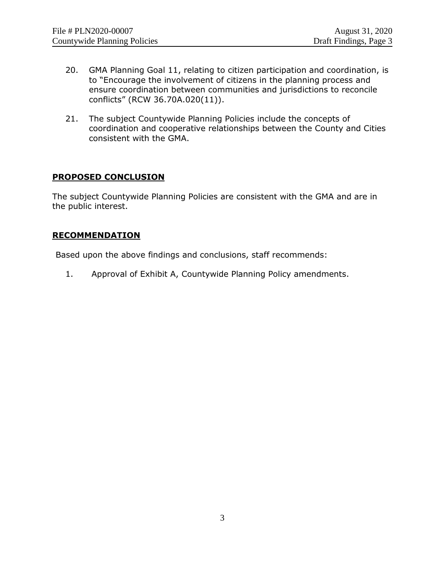- 20. GMA Planning Goal 11, relating to citizen participation and coordination, is to "Encourage the involvement of citizens in the planning process and ensure coordination between communities and jurisdictions to reconcile conflicts" (RCW 36.70A.020(11)).
- 21. The subject Countywide Planning Policies include the concepts of coordination and cooperative relationships between the County and Cities consistent with the GMA.

#### **PROPOSED CONCLUSION**

The subject Countywide Planning Policies are consistent with the GMA and are in the public interest.

#### **RECOMMENDATION**

Based upon the above findings and conclusions, staff recommends:

1. Approval of Exhibit A, Countywide Planning Policy amendments.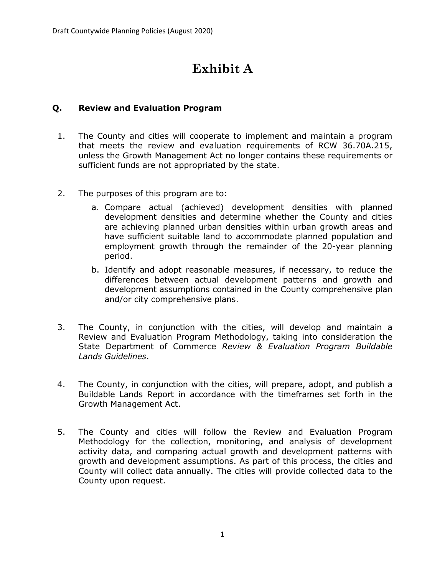# **Exhibit A**

## **Q. Review and Evaluation Program**

- 1. The County and cities will cooperate to implement and maintain a program that meets the review and evaluation requirements of RCW 36.70A.215, unless the Growth Management Act no longer contains these requirements or sufficient funds are not appropriated by the state.
- 2. The purposes of this program are to:
	- a. Compare actual (achieved) development densities with planned development densities and determine whether the County and cities are achieving planned urban densities within urban growth areas and have sufficient suitable land to accommodate planned population and employment growth through the remainder of the 20-year planning period.
	- b. Identify and adopt reasonable measures, if necessary, to reduce the differences between actual development patterns and growth and development assumptions contained in the County comprehensive plan and/or city comprehensive plans.
- 3. The County, in conjunction with the cities, will develop and maintain a Review and Evaluation Program Methodology, taking into consideration the State Department of Commerce *Review & Evaluation Program Buildable Lands Guidelines*.
- 4. The County, in conjunction with the cities, will prepare, adopt, and publish a Buildable Lands Report in accordance with the timeframes set forth in the Growth Management Act.
- 5. The County and cities will follow the Review and Evaluation Program Methodology for the collection, monitoring, and analysis of development activity data, and comparing actual growth and development patterns with growth and development assumptions. As part of this process, the cities and County will collect data annually. The cities will provide collected data to the County upon request.